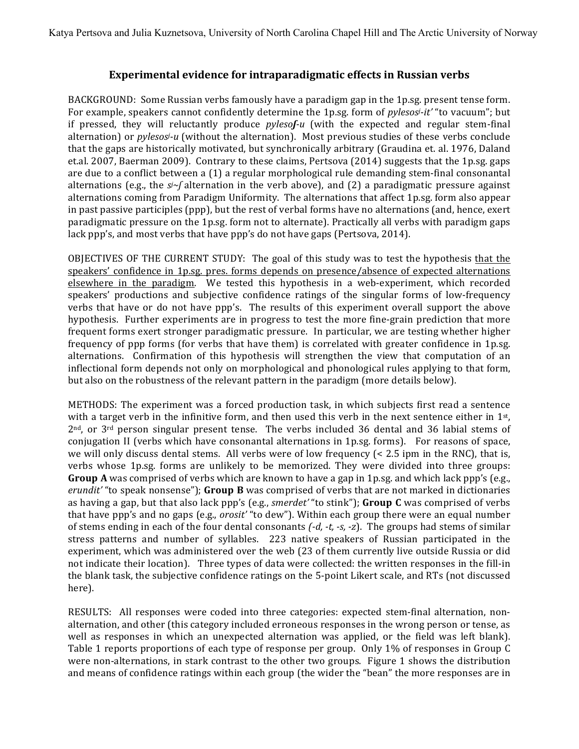## **Experimental evidence for intraparadigmatic effects in Russian verbs**

BACKGROUND: Some Russian verbs famously have a paradigm gap in the 1p.sg. present tense form. For example, speakers cannot confidently determine the 1p.sg. form of *pylesosi-it'* "to vacuum"; but if pressed, they will reluctantly produce *pylesof-u* (with the expected and regular stem-final alternation) or *pylesosi-u* (without the alternation). Most previous studies of these verbs conclude that the gaps are historically motivated, but synchronically arbitrary (Graudina et. al. 1976, Daland et.al. 2007, Baerman 2009). Contrary to these claims, Pertsova (2014) suggests that the 1p.sg. gaps are due to a conflict between a (1) a regular morphological rule demanding stem-final consonantal alternations (e.g., the  $s\sim f$  alternation in the verb above), and (2) a paradigmatic pressure against alternations coming from Paradigm Uniformity. The alternations that affect 1p.sg. form also appear in past passive participles (ppp), but the rest of verbal forms have no alternations (and, hence, exert paradigmatic pressure on the 1p.sg. form not to alternate). Practically all verbs with paradigm gaps lack ppp's, and most verbs that have ppp's do not have gaps (Pertsova, 2014).

OBJECTIVES OF THE CURRENT STUDY: The goal of this study was to test the hypothesis that the speakers' confidence in 1p.sg. pres. forms depends on presence/absence of expected alternations elsewhere in the paradigm. We tested this hypothesis in a web-experiment, which recorded speakers' productions and subjective confidence ratings of the singular forms of low-frequency verbs that have or do not have ppp's. The results of this experiment overall support the above hypothesis. Further experiments are in progress to test the more fine-grain prediction that more frequent forms exert stronger paradigmatic pressure. In particular, we are testing whether higher frequency of ppp forms (for verbs that have them) is correlated with greater confidence in 1p.sg. alternations. Confirmation of this hypothesis will strengthen the view that computation of an inflectional form depends not only on morphological and phonological rules applying to that form, but also on the robustness of the relevant pattern in the paradigm (more details below).

METHODS: The experiment was a forced production task, in which subjects first read a sentence with a target verb in the infinitive form, and then used this verb in the next sentence either in 1st, 2nd, or 3rd person singular present tense. The verbs included 36 dental and 36 labial stems of conjugation II (verbs which have consonantal alternations in 1p.sg. forms). For reasons of space, we will only discuss dental stems. All verbs were of low frequency  $\leq$  2.5 ipm in the RNC), that is, verbs whose 1p.sg. forms are unlikely to be memorized. They were divided into three groups: **Group A** was comprised of verbs which are known to have a gap in 1p.sg. and which lack ppp's (e.g., *erundit'* "to speak nonsense"); Group B was comprised of verbs that are not marked in dictionaries as having a gap, but that also lack ppp's (e.g., *smerdet'* "to stink"); **Group C** was comprised of verbs that have ppp's and no gaps (e.g., *orosit'* "to dew"). Within each group there were an equal number of stems ending in each of the four dental consonants  $(-d, -t, -s, -z)$ . The groups had stems of similar stress patterns and number of syllables. 223 native speakers of Russian participated in the experiment, which was administered over the web (23 of them currently live outside Russia or did not indicate their location). Three types of data were collected: the written responses in the fill-in the blank task, the subjective confidence ratings on the 5-point Likert scale, and RTs (not discussed here).

RESULTS: All responses were coded into three categories: expected stem-final alternation, nonalternation, and other (this category included erroneous responses in the wrong person or tense, as well as responses in which an unexpected alternation was applied, or the field was left blank). Table 1 reports proportions of each type of response per group. Only 1% of responses in Group C were non-alternations, in stark contrast to the other two groups. Figure 1 shows the distribution and means of confidence ratings within each group (the wider the "bean" the more responses are in